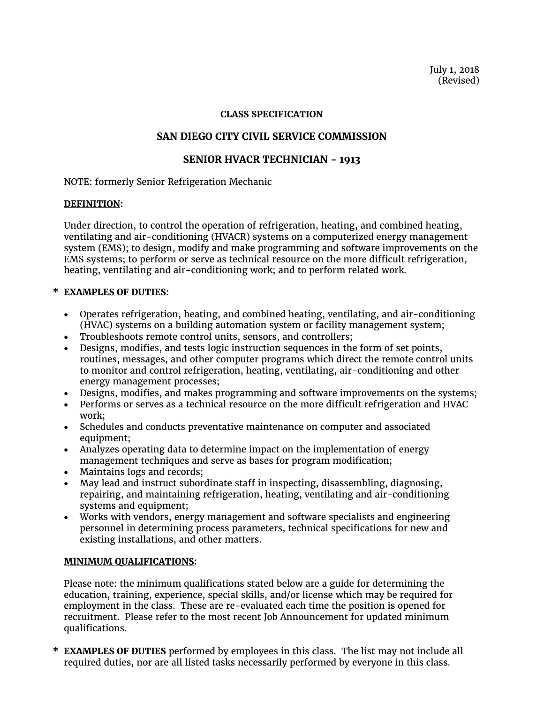July 1, 2018 (Revised)

### **CLASS SPECIFICATION**

# **SAN DIEGO CITY CIVIL SERVICE COMMISSION**

## **SENIOR HVACR TECHNICIAN - 1913**

NOTE: formerly Senior Refrigeration Mechanic

#### **DEFINITION:**

Under direction, to control the operation of refrigeration, heating, and combined heating, ventilating and air-conditioning (HVACR) systems on a computerized energy management system (EMS); to design, modify and make programming and software improvements on the EMS systems; to perform or serve as technical resource on the more difficult refrigeration, heating, ventilating and air-conditioning work; and to perform related work.

## **\* EXAMPLES OF DUTIES:**

- Operates refrigeration, heating, and combined heating, ventilating, and air-conditioning (HVAC) systems on a building automation system or facility management system;
- Troubleshoots remote control units, sensors, and controllers;
- Designs, modifies, and tests logic instruction sequences in the form of set points, routines, messages, and other computer programs which direct the remote control units to monitor and control refrigeration, heating, ventilating, air-conditioning and other energy management processes;
- Designs, modifies, and makes programming and software improvements on the systems;
- Performs or serves as a technical resource on the more difficult refrigeration and HVAC work;
- Schedules and conducts preventative maintenance on computer and associated equipment;
- Analyzes operating data to determine impact on the implementation of energy management techniques and serve as bases for program modification;
- Maintains logs and records;
- May lead and instruct subordinate staff in inspecting, disassembling, diagnosing, repairing, and maintaining refrigeration, heating, ventilating and air-conditioning systems and equipment;
- Works with vendors, energy management and software specialists and engineering personnel in determining process parameters, technical specifications for new and existing installations, and other matters.

## **MINIMUM QUALIFICATIONS:**

Please note: the minimum qualifications stated below are a guide for determining the education, training, experience, special skills, and/or license which may be required for employment in the class. These are re-evaluated each time the position is opened for recruitment. Please refer to the most recent Job Announcement for updated minimum qualifications.

**\* EXAMPLES OF DUTIES** performed by employees in this class. The list may not include all required duties, nor are all listed tasks necessarily performed by everyone in this class.